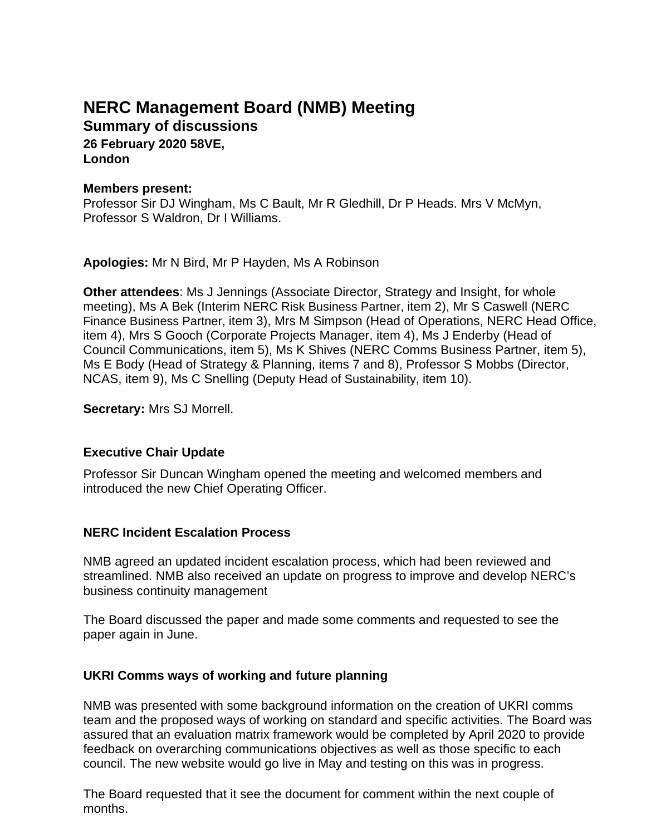# **NERC Management Board (NMB) Meeting Summary of discussions**

**26 February 2020 58VE, London**

#### **Members present:**

Professor Sir DJ Wingham, Ms C Bault, Mr R Gledhill, Dr P Heads. Mrs V McMyn, Professor S Waldron, Dr I Williams.

**Apologies:** Mr N Bird, Mr P Hayden, Ms A Robinson

**Other attendees**: Ms J Jennings (Associate Director, Strategy and Insight, for whole meeting), Ms A Bek (Interim NERC Risk Business Partner, item 2), Mr S Caswell (NERC Finance Business Partner, item 3), Mrs M Simpson (Head of Operations, NERC Head Office, item 4), Mrs S Gooch (Corporate Projects Manager, item 4), Ms J Enderby (Head of Council Communications, item 5), Ms K Shives (NERC Comms Business Partner, item 5), Ms E Body (Head of Strategy & Planning, items 7 and 8), Professor S Mobbs (Director, NCAS, item 9), Ms C Snelling (Deputy Head of Sustainability, item 10).

**Secretary:** Mrs SJ Morrell.

# **Executive Chair Update**

Professor Sir Duncan Wingham opened the meeting and welcomed members and introduced the new Chief Operating Officer.

# **NERC Incident Escalation Process**

NMB agreed an updated incident escalation process, which had been reviewed and streamlined. NMB also received an update on progress to improve and develop NERC's business continuity management

The Board discussed the paper and made some comments and requested to see the paper again in June.

# **UKRI Comms ways of working and future planning**

NMB was presented with some background information on the creation of UKRI comms team and the proposed ways of working on standard and specific activities. The Board was assured that an evaluation matrix framework would be completed by April 2020 to provide feedback on overarching communications objectives as well as those specific to each council. The new website would go live in May and testing on this was in progress.

The Board requested that it see the document for comment within the next couple of months.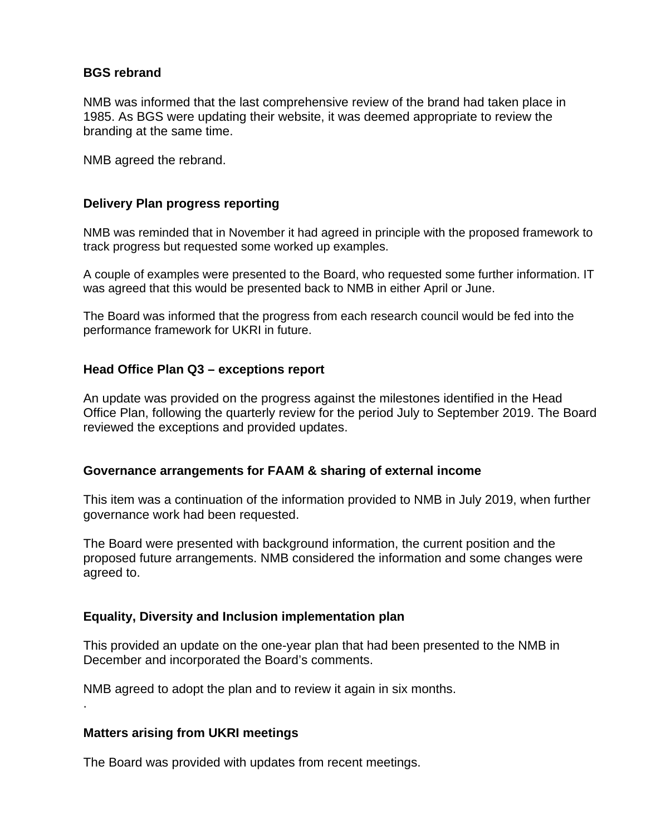### **BGS rebrand**

NMB was informed that the last comprehensive review of the brand had taken place in 1985. As BGS were updating their website, it was deemed appropriate to review the branding at the same time.

NMB agreed the rebrand.

#### **Delivery Plan progress reporting**

NMB was reminded that in November it had agreed in principle with the proposed framework to track progress but requested some worked up examples.

A couple of examples were presented to the Board, who requested some further information. IT was agreed that this would be presented back to NMB in either April or June.

The Board was informed that the progress from each research council would be fed into the performance framework for UKRI in future.

#### **Head Office Plan Q3 – exceptions report**

An update was provided on the progress against the milestones identified in the Head Office Plan, following the quarterly review for the period July to September 2019. The Board reviewed the exceptions and provided updates.

#### **Governance arrangements for FAAM & sharing of external income**

This item was a continuation of the information provided to NMB in July 2019, when further governance work had been requested.

The Board were presented with background information, the current position and the proposed future arrangements. NMB considered the information and some changes were agreed to.

#### **Equality, Diversity and Inclusion implementation plan**

This provided an update on the one-year plan that had been presented to the NMB in December and incorporated the Board's comments.

NMB agreed to adopt the plan and to review it again in six months.

#### **Matters arising from UKRI meetings**

.

The Board was provided with updates from recent meetings.